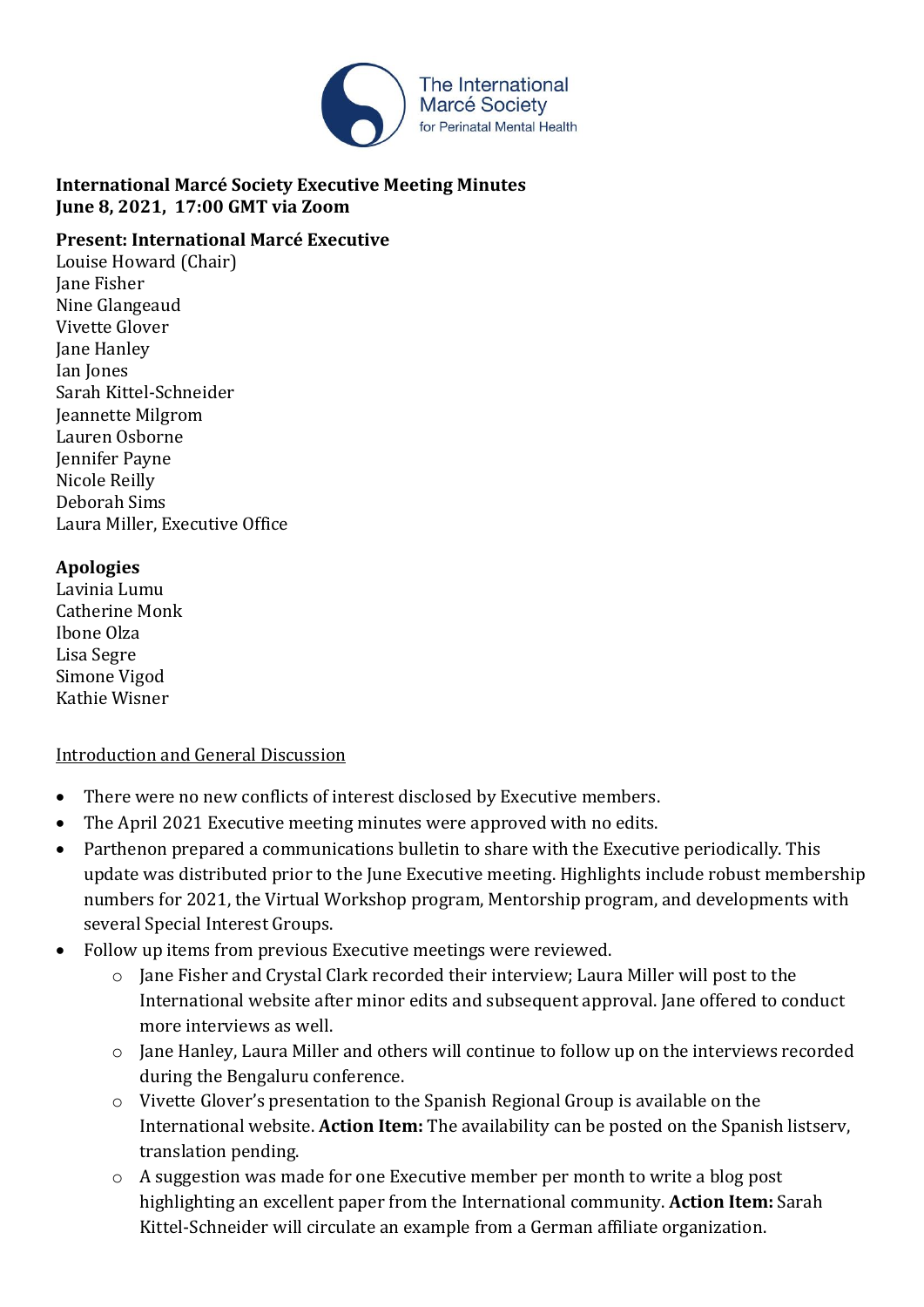

### **International Marcé Society Executive Meeting Minutes June 8, 2021, 17:00 GMT via Zoom**

#### **Present: International Marcé Executive**

Louise Howard (Chair) Jane Fisher Nine Glangeaud Vivette Glover Jane Hanley Ian Jones Sarah Kittel-Schneider Jeannette Milgrom Lauren Osborne Jennifer Payne Nicole Reilly Deborah Sims Laura Miller, Executive Office

#### **Apologies**

Lavinia Lumu Catherine Monk Ibone Olza Lisa Segre Simone Vigod Kathie Wisner

#### Introduction and General Discussion

- There were no new conflicts of interest disclosed by Executive members.
- The April 2021 Executive meeting minutes were approved with no edits.
- Parthenon prepared a communications bulletin to share with the Executive periodically. This update was distributed prior to the June Executive meeting. Highlights include robust membership numbers for 2021, the Virtual Workshop program, Mentorship program, and developments with several Special Interest Groups.
- Follow up items from previous Executive meetings were reviewed.
	- o Jane Fisher and Crystal Clark recorded their interview; Laura Miller will post to the International website after minor edits and subsequent approval. Jane offered to conduct more interviews as well.
	- o Jane Hanley, Laura Miller and others will continue to follow up on the interviews recorded during the Bengaluru conference.
	- o Vivette Glover's presentation to the Spanish Regional Group is available on the International website. **Action Item:** The availability can be posted on the Spanish listserv, translation pending.
	- o A suggestion was made for one Executive member per month to write a blog post highlighting an excellent paper from the International community. **Action Item:** Sarah Kittel-Schneider will circulate an example from a German affiliate organization.